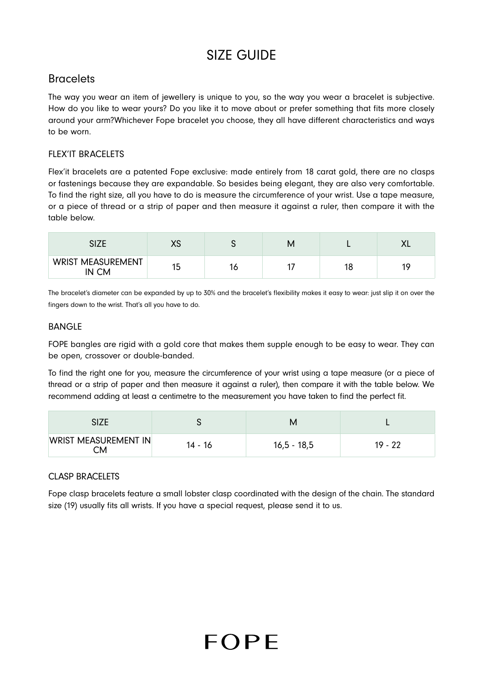# SIZE GUIDE

## **Bracelets**

The way you wear an item of jewellery is unique to you, so the way you wear a bracelet is subjective. How do you like to wear yours? Do you like it to move about or prefer something that fits more closely around your arm?Whichever Fope bracelet you choose, they all have different characteristics and ways to be worn.

### FLEX'IT BRACELETS

Flex'it bracelets are a patented Fope exclusive: made entirely from 18 carat gold, there are no clasps or fastenings because they are expandable. So besides being elegant, they are also very comfortable. To find the right size, all you have to do is measure the circumference of your wrist. Use a tape measure, or a piece of thread or a strip of paper and then measure it against a ruler, then compare it with the table below.

|                                   | $\sqrt{2}$<br>ハー |    | M |    | ᄊ         |
|-----------------------------------|------------------|----|---|----|-----------|
| <b>WRIST MEASUREMENT</b><br>IN CM | 15               | ΙC |   | 18 | 10<br>. . |

The bracelet's diameter can be expanded by up to 30% and the bracelet's flexibility makes it easy to wear: just slip it on over the fingers down to the wrist. That's all you have to do.

#### BANGLE

FOPE bangles are rigid with a gold core that makes them supple enough to be easy to wear. They can be open, crossover or double-banded.

To find the right one for you, measure the circumference of your wrist using a tape measure (or a piece of thread or a strip of paper and then measure it against a ruler), then compare it with the table below. We recommend adding at least a centimetre to the measurement you have taken to find the perfect fit.

| WRIST MEASUREMENT IN<br>СM | 14 - 16 | $16,5 - 18,5$ | $19 - 22$ |
|----------------------------|---------|---------------|-----------|

### CLASP BRACELETS

Fope clasp bracelets feature a small lobster clasp coordinated with the design of the chain. The standard size (19) usually fits all wrists. If you have a special request, please send it to us.

# FOPF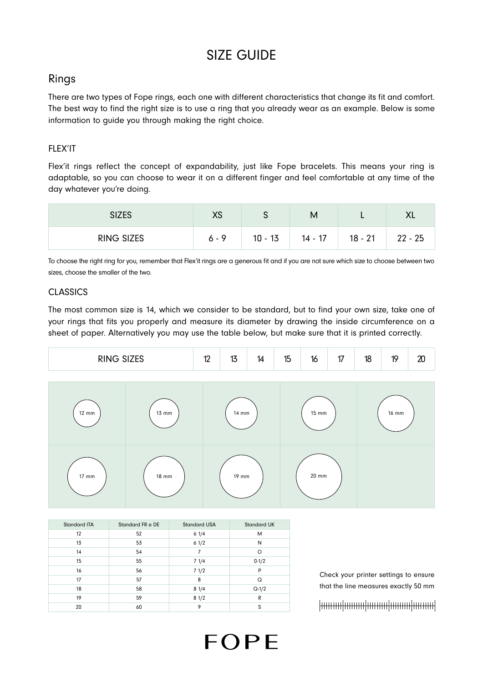# SIZE GUIDE

### Rings

There are two types of Fope rings, each one with different characteristics that change its fit and comfort. The best way to find the right size is to use a ring that you already wear as an example. Below is some information to guide you through making the right choice.

### FLEX'IT

Flex'it rings reflect the concept of expandability, just like Fope bracelets. This means your ring is adaptable, so you can choose to wear it on a different finger and feel comfortable at any time of the day whatever you're doing.

| <b>SIZES</b>      | $\mathsf{v}\mathsf{c}$<br>∧ט | ີ         | М         |           | ∧∟        |
|-------------------|------------------------------|-----------|-----------|-----------|-----------|
| <b>RING SIZES</b> | $6 - 9$                      | $10 - 13$ | $14 - 17$ | $18 - 21$ | $22 - 25$ |

To choose the right ring for you, remember that Flex'it rings are a generous fit and if you are not sure which size to choose between two sizes, choose the smaller of the two.

#### **CLASSICS**

The most common size is 14, which we consider to be standard, but to find your own size, take one of your rings that fits you properly and measure its diameter by drawing the inside circumference on a sheet of paper. Alternatively you may use the table below, but make sure that it is printed correctly.

| DINIC CITEC<br>.<br>ᅁᅩᄔ<br>no v | $\overline{A}$<br>L | 47<br>.,<br>N | 14 | 15<br>IJ | 16 | $\rightarrow$<br>и<br>$-$ | 10<br><b>IO</b> | <b>10</b><br>. . | $\overline{\phantom{a}}$<br>∼ |
|---------------------------------|---------------------|---------------|----|----------|----|---------------------------|-----------------|------------------|-------------------------------|
|---------------------------------|---------------------|---------------|----|----------|----|---------------------------|-----------------|------------------|-------------------------------|



**FOPF** 

| <b>Standard ITA</b> | Standard FR e DE | <b>Standard USA</b> | <b>Standard UK</b> |
|---------------------|------------------|---------------------|--------------------|
| 12                  | 52               | 61/4                | M                  |
| 13                  | 53               | 61/2                | N                  |
| 14                  | 54               |                     | O                  |
| 15                  | 55               | 71/4                | $0-1/2$            |
| 16                  | 56               | 71/2                | P                  |
| 17                  | 57               | 8                   | Q                  |
| 18                  | 58               | 81/4                | $Q-1/2$            |
| 19                  | 59               | 81/2                | R                  |
| 20                  | 60               | 9                   | S                  |

Check your printer settings to ensure that the line measures exactly 50 mm

##